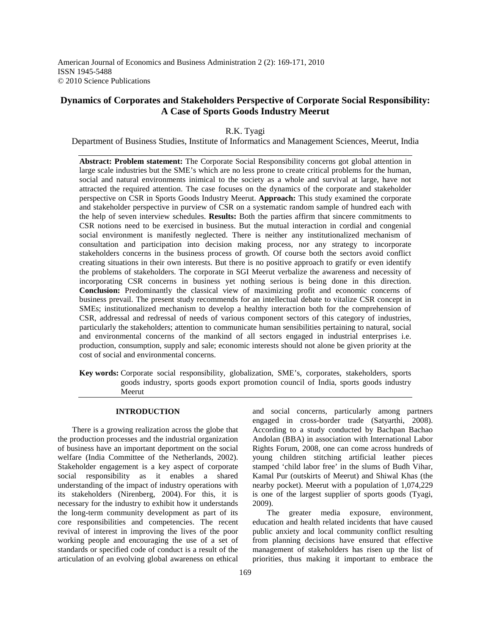American Journal of Economics and Business Administration 2 (2): 169-171, 2010 ISSN 1945-5488 © 2010 Science Publications

# **Dynamics of Corporates and Stakeholders Perspective of Corporate Social Responsibility: A Case of Sports Goods Industry Meerut**

R.K. Tyagi

Department of Business Studies, Institute of Informatics and Management Sciences, Meerut, India

**Abstract: Problem statement:** The Corporate Social Responsibility concerns got global attention in large scale industries but the SME's which are no less prone to create critical problems for the human, social and natural environments inimical to the society as a whole and survival at large, have not attracted the required attention. The case focuses on the dynamics of the corporate and stakeholder perspective on CSR in Sports Goods Industry Meerut. **Approach:** This study examined the corporate and stakeholder perspective in purview of CSR on a systematic random sample of hundred each with the help of seven interview schedules. **Results:** Both the parties affirm that sincere commitments to CSR notions need to be exercised in business. But the mutual interaction in cordial and congenial social environment is manifestly neglected. There is neither any institutionalized mechanism of consultation and participation into decision making process, nor any strategy to incorporate stakeholders concerns in the business process of growth. Of course both the sectors avoid conflict creating situations in their own interests. But there is no positive approach to gratify or even identify the problems of stakeholders. The corporate in SGI Meerut verbalize the awareness and necessity of incorporating CSR concerns in business yet nothing serious is being done in this direction. **Conclusion:** Predominantly the classical view of maximizing profit and economic concerns of business prevail. The present study recommends for an intellectual debate to vitalize CSR concept in SMEs; institutionalized mechanism to develop a healthy interaction both for the comprehension of CSR, addressal and redressal of needs of various component sectors of this category of industries, particularly the stakeholders; attention to communicate human sensibilities pertaining to natural, social and environmental concerns of the mankind of all sectors engaged in industrial enterprises i.e. production, consumption, supply and sale; economic interests should not alone be given priority at the cost of social and environmental concerns.

**Key words:** Corporate social responsibility, globalization, SME's, corporates, stakeholders, sports goods industry, sports goods export promotion council of India, sports goods industry Meerut

## **INTRODUCTION**

 There is a growing realization across the globe that the production processes and the industrial organization of business have an important deportment on the social welfare (India Committee of the Netherlands, 2002). Stakeholder engagement is a key aspect of corporate social responsibility as it enables a shared understanding of the impact of industry operations with its stakeholders (Nirenberg, 2004). For this, it is necessary for the industry to exhibit how it understands the long-term community development as part of its core responsibilities and competencies. The recent revival of interest in improving the lives of the poor working people and encouraging the use of a set of standards or specified code of conduct is a result of the articulation of an evolving global awareness on ethical

and social concerns, particularly among partners engaged in cross-border trade (Satyarthi, 2008). According to a study conducted by Bachpan Bachao Andolan (BBA) in association with International Labor Rights Forum, 2008, one can come across hundreds of young children stitching artificial leather pieces stamped 'child labor free' in the slums of Budh Vihar, Kamal Pur (outskirts of Meerut) and Shiwal Khas (the nearby pocket). Meerut with a population of 1,074,229 is one of the largest supplier of sports goods (Tyagi, 2009).

 The greater media exposure, environment, education and health related incidents that have caused public anxiety and local community conflict resulting from planning decisions have ensured that effective management of stakeholders has risen up the list of priorities, thus making it important to embrace the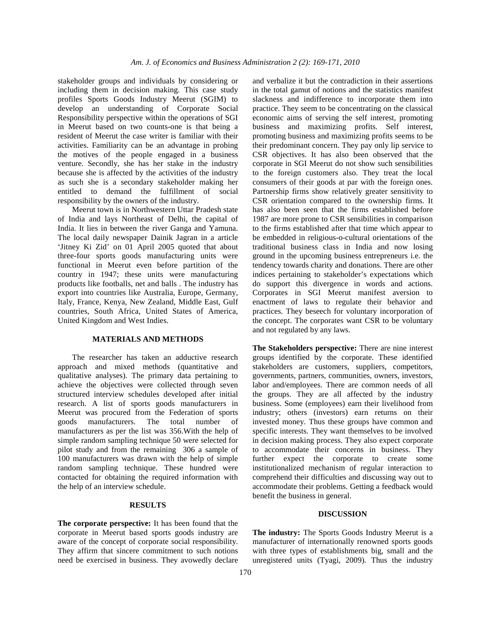stakeholder groups and individuals by considering or including them in decision making. This case study profiles Sports Goods Industry Meerut (SGIM) to develop an understanding of Corporate Social Responsibility perspective within the operations of SGI in Meerut based on two counts-one is that being a resident of Meerut the case writer is familiar with their activities. Familiarity can be an advantage in probing the motives of the people engaged in a business venture. Secondly, she has her stake in the industry because she is affected by the activities of the industry as such she is a secondary stakeholder making her entitled to demand the fulfillment of social responsibility by the owners of the industry.

 Meerut town is in Northwestern Uttar Pradesh state of India and lays Northeast of Delhi, the capital of India. It lies in between the river Ganga and Yamuna. The local daily newspaper Dainik Jagran in a article 'Jitney Ki Zid' on 01 April 2005 quoted that about three-four sports goods manufacturing units were functional in Meerut even before partition of the country in 1947; these units were manufacturing products like footballs, net and balls . The industry has export into countries like Australia, Europe, Germany, Italy, France, Kenya, New Zealand, Middle East, Gulf countries, South Africa, United States of America, United Kingdom and West Indies.

## **MATERIALS AND METHODS**

The researcher has taken an adductive research approach and mixed methods (quantitative and qualitative analyses). The primary data pertaining to achieve the objectives were collected through seven structured interview schedules developed after initial research. A list of sports goods manufacturers in Meerut was procured from the Federation of sports goods manufacturers. The total number of manufacturers as per the list was 356.With the help of simple random sampling technique 50 were selected for pilot study and from the remaining 306 a sample of 100 manufacturers was drawn with the help of simple random sampling technique. These hundred were contacted for obtaining the required information with the help of an interview schedule.

## **RESULTS**

**The corporate perspective:** It has been found that the corporate in Meerut based sports goods industry are aware of the concept of corporate social responsibility. They affirm that sincere commitment to such notions need be exercised in business. They avowedly declare

and verbalize it but the contradiction in their assertions in the total gamut of notions and the statistics manifest slackness and indifference to incorporate them into practice. They seem to be concentrating on the classical economic aims of serving the self interest, promoting business and maximizing profits. Self interest, promoting business and maximizing profits seems to be their predominant concern. They pay only lip service to CSR objectives. It has also been observed that the corporate in SGI Meerut do not show such sensibilities to the foreign customers also. They treat the local consumers of their goods at par with the foreign ones. Partnership firms show relatively greater sensitivity to CSR orientation compared to the ownership firms. It has also been seen that the firms established before 1987 are more prone to CSR sensibilities in comparison to the firms established after that time which appear to be embedded in religious-o-cultural orientations of the traditional business class in India and now losing ground in the upcoming business entrepreneurs i.e. the tendency towards charity and donations. There are other indices pertaining to stakeholder's expectations which do support this divergence in words and actions. Corporates in SGI Meerut manifest aversion to enactment of laws to regulate their behavior and practices. They beseech for voluntary incorporation of the concept. The corporates want CSR to be voluntary and not regulated by any laws.

**The Stakeholders perspective:** There are nine interest groups identified by the corporate. These identified stakeholders are customers, suppliers, competitors, governments, partners, communities, owners, investors, labor and/employees. There are common needs of all the groups. They are all affected by the industry business. Some (employees) earn their livelihood from industry; others (investors) earn returns on their invested money. Thus these groups have common and specific interests. They want themselves to be involved in decision making process. They also expect corporate to accommodate their concerns in business. They further expect the corporate to create some institutionalized mechanism of regular interaction to comprehend their difficulties and discussing way out to accommodate their problems. Getting a feedback would benefit the business in general.

#### **DISCUSSION**

**The industry:** The Sports Goods Industry Meerut is a manufacturer of internationally renowned sports goods with three types of establishments big, small and the unregistered units (Tyagi, 2009). Thus the industry